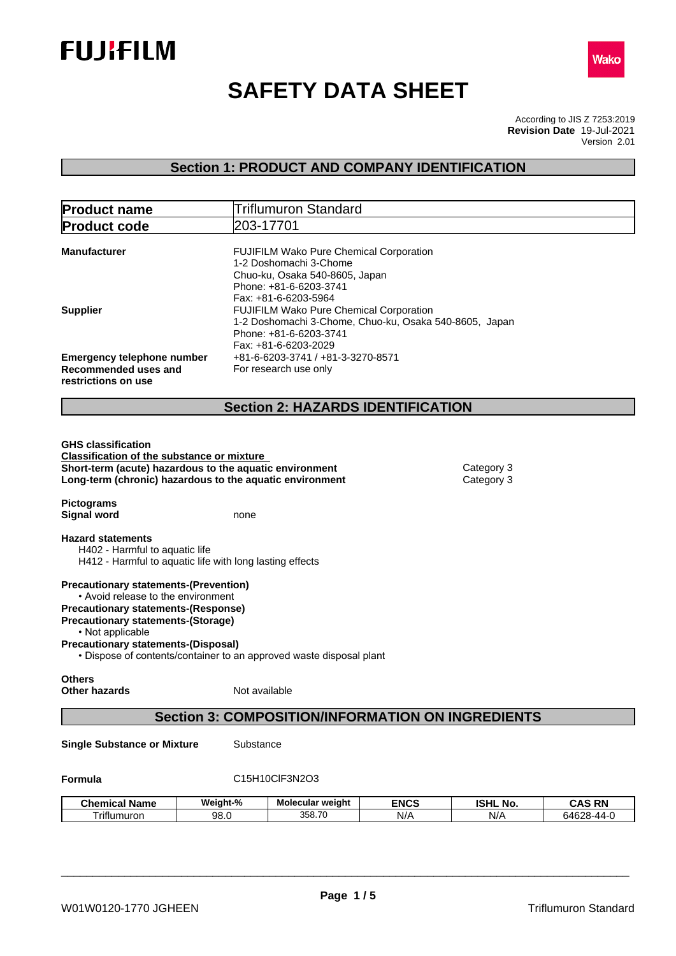



# **SAFETY DATA SHEET**

According to JIS Z 7253:2019 Version 2.01 **Revision Date** 19-Jul-2021

# **Section 1: PRODUCT AND COMPANY IDENTIFICATION**

| 203-17701<br><b>Product code</b><br>FUJIFILM Wako Pure Chemical Corporation<br><b>Manufacturer</b><br>1-2 Doshomachi 3-Chome<br>Chuo-ku, Osaka 540-8605, Japan<br>Phone: +81-6-6203-3741<br>Fax: +81-6-6203-5964<br>FUJIFILM Wako Pure Chemical Corporation<br><b>Supplier</b><br>1-2 Doshomachi 3-Chome, Chuo-ku, Osaka 540-8605, Japan<br>Phone: +81-6-6203-3741<br>Fax: +81-6-6203-2029<br>+81-6-6203-3741 / +81-3-3270-8571<br><b>Emergency telephone number</b><br>Recommended uses and<br>For research use only<br>restrictions on use<br><b>Section 2: HAZARDS IDENTIFICATION</b><br><b>GHS classification</b><br><b>Classification of the substance or mixture</b><br>Short-term (acute) hazardous to the aquatic environment<br>Category 3<br>Long-term (chronic) hazardous to the aquatic environment<br>Category 3<br><b>Pictograms</b><br><b>Signal word</b><br>none<br><b>Hazard statements</b><br>H402 - Harmful to aquatic life<br>H412 - Harmful to aquatic life with long lasting effects<br><b>Precautionary statements-(Prevention)</b><br>• Avoid release to the environment<br><b>Precautionary statements-(Response)</b><br><b>Precautionary statements-(Storage)</b><br>• Not applicable<br><b>Precautionary statements-(Disposal)</b><br>• Dispose of contents/container to an approved waste disposal plant<br><b>Others</b><br>Not available<br><b>Other hazards</b><br><b>Section 3: COMPOSITION/INFORMATION ON INGREDIENTS</b><br>Substance<br><b>Single Substance or Mixture</b><br>Formula<br>C15H10ClF3N2O3 | <b>Product name</b>  |          | Triflumuron Standard |             |                 |               |
|--------------------------------------------------------------------------------------------------------------------------------------------------------------------------------------------------------------------------------------------------------------------------------------------------------------------------------------------------------------------------------------------------------------------------------------------------------------------------------------------------------------------------------------------------------------------------------------------------------------------------------------------------------------------------------------------------------------------------------------------------------------------------------------------------------------------------------------------------------------------------------------------------------------------------------------------------------------------------------------------------------------------------------------------------------------------------------------------------------------------------------------------------------------------------------------------------------------------------------------------------------------------------------------------------------------------------------------------------------------------------------------------------------------------------------------------------------------------------------------------------------------------------------------------|----------------------|----------|----------------------|-------------|-----------------|---------------|
|                                                                                                                                                                                                                                                                                                                                                                                                                                                                                                                                                                                                                                                                                                                                                                                                                                                                                                                                                                                                                                                                                                                                                                                                                                                                                                                                                                                                                                                                                                                                            |                      |          |                      |             |                 |               |
|                                                                                                                                                                                                                                                                                                                                                                                                                                                                                                                                                                                                                                                                                                                                                                                                                                                                                                                                                                                                                                                                                                                                                                                                                                                                                                                                                                                                                                                                                                                                            |                      |          |                      |             |                 |               |
|                                                                                                                                                                                                                                                                                                                                                                                                                                                                                                                                                                                                                                                                                                                                                                                                                                                                                                                                                                                                                                                                                                                                                                                                                                                                                                                                                                                                                                                                                                                                            |                      |          |                      |             |                 |               |
|                                                                                                                                                                                                                                                                                                                                                                                                                                                                                                                                                                                                                                                                                                                                                                                                                                                                                                                                                                                                                                                                                                                                                                                                                                                                                                                                                                                                                                                                                                                                            |                      |          |                      |             |                 |               |
|                                                                                                                                                                                                                                                                                                                                                                                                                                                                                                                                                                                                                                                                                                                                                                                                                                                                                                                                                                                                                                                                                                                                                                                                                                                                                                                                                                                                                                                                                                                                            |                      |          |                      |             |                 |               |
|                                                                                                                                                                                                                                                                                                                                                                                                                                                                                                                                                                                                                                                                                                                                                                                                                                                                                                                                                                                                                                                                                                                                                                                                                                                                                                                                                                                                                                                                                                                                            |                      |          |                      |             |                 |               |
|                                                                                                                                                                                                                                                                                                                                                                                                                                                                                                                                                                                                                                                                                                                                                                                                                                                                                                                                                                                                                                                                                                                                                                                                                                                                                                                                                                                                                                                                                                                                            |                      |          |                      |             |                 |               |
|                                                                                                                                                                                                                                                                                                                                                                                                                                                                                                                                                                                                                                                                                                                                                                                                                                                                                                                                                                                                                                                                                                                                                                                                                                                                                                                                                                                                                                                                                                                                            |                      |          |                      |             |                 |               |
|                                                                                                                                                                                                                                                                                                                                                                                                                                                                                                                                                                                                                                                                                                                                                                                                                                                                                                                                                                                                                                                                                                                                                                                                                                                                                                                                                                                                                                                                                                                                            |                      |          |                      |             |                 |               |
|                                                                                                                                                                                                                                                                                                                                                                                                                                                                                                                                                                                                                                                                                                                                                                                                                                                                                                                                                                                                                                                                                                                                                                                                                                                                                                                                                                                                                                                                                                                                            |                      |          |                      |             |                 |               |
|                                                                                                                                                                                                                                                                                                                                                                                                                                                                                                                                                                                                                                                                                                                                                                                                                                                                                                                                                                                                                                                                                                                                                                                                                                                                                                                                                                                                                                                                                                                                            |                      |          |                      |             |                 |               |
|                                                                                                                                                                                                                                                                                                                                                                                                                                                                                                                                                                                                                                                                                                                                                                                                                                                                                                                                                                                                                                                                                                                                                                                                                                                                                                                                                                                                                                                                                                                                            |                      |          |                      |             |                 |               |
|                                                                                                                                                                                                                                                                                                                                                                                                                                                                                                                                                                                                                                                                                                                                                                                                                                                                                                                                                                                                                                                                                                                                                                                                                                                                                                                                                                                                                                                                                                                                            |                      |          |                      |             |                 |               |
|                                                                                                                                                                                                                                                                                                                                                                                                                                                                                                                                                                                                                                                                                                                                                                                                                                                                                                                                                                                                                                                                                                                                                                                                                                                                                                                                                                                                                                                                                                                                            |                      |          |                      |             |                 |               |
|                                                                                                                                                                                                                                                                                                                                                                                                                                                                                                                                                                                                                                                                                                                                                                                                                                                                                                                                                                                                                                                                                                                                                                                                                                                                                                                                                                                                                                                                                                                                            | <b>Chemical Name</b> | Weight-% | Molecular weight     | <b>ENCS</b> | <b>ISHL No.</b> | <b>CAS RN</b> |
| 358.70<br>Triflumuron<br>N/A<br>N/A<br>64628-44-0<br>98.0                                                                                                                                                                                                                                                                                                                                                                                                                                                                                                                                                                                                                                                                                                                                                                                                                                                                                                                                                                                                                                                                                                                                                                                                                                                                                                                                                                                                                                                                                  |                      |          |                      |             |                 |               |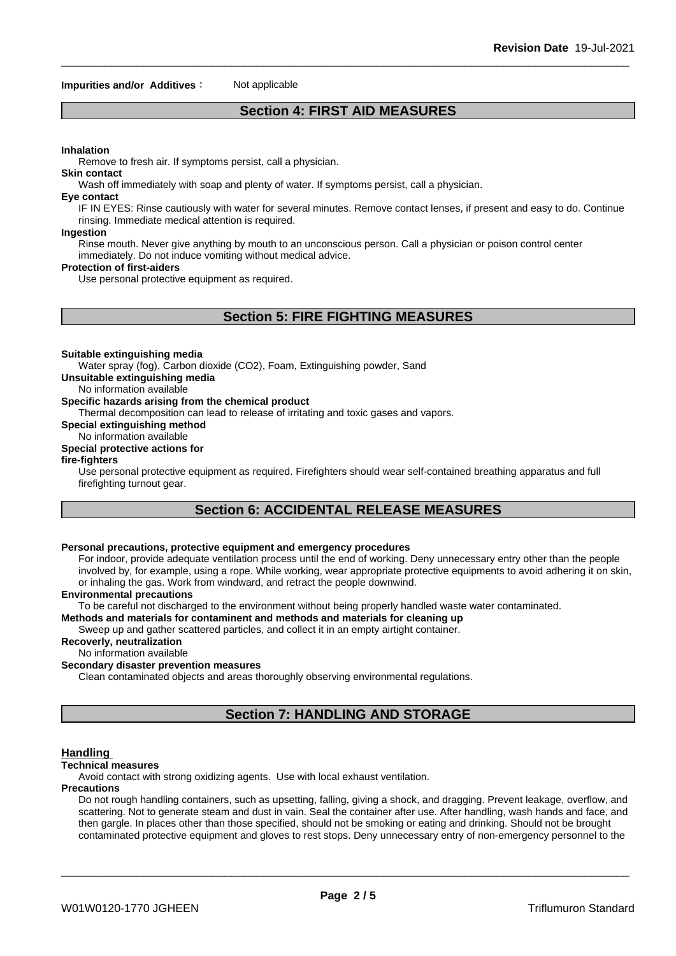#### **Impurities and/or Additives** : Not applicable

# **Section 4: FIRST AID MEASURES**

#### **Inhalation**

Remove to fresh air. If symptoms persist, call a physician.

**Skin contact**

Wash off immediately with soap and plenty of water. If symptoms persist, call a physician.

#### **Eye contact**

IF IN EYES: Rinse cautiously with water for several minutes. Remove contact lenses, if present and easy to do. Continue rinsing. Immediate medical attention is required.

#### **Ingestion**

Rinse mouth. Never give anything by mouth to an unconscious person. Call a physician or poison control center immediately. Do not induce vomiting without medical advice.

#### **Protection of first-aiders**

Use personal protective equipment as required.

# **Section 5: FIRE FIGHTING MEASURES**

#### **Suitable extinguishing media**

Water spray (fog), Carbon dioxide (CO2), Foam, Extinguishing powder, Sand

**Unsuitable extinguishing media**

## No information available

## **Specific hazards arising from the chemical product**

Thermal decomposition can lead to release of irritating and toxic gases and vapors.

# **Special extinguishing method**

#### No information available **Special protective actions for**

#### **fire-fighters**

Use personal protective equipment as required. Firefighters should wear self-contained breathing apparatus and full firefighting turnout gear.

# **Section 6: ACCIDENTAL RELEASE MEASURES**

#### **Personal precautions, protective equipment and emergency procedures**

For indoor, provide adequate ventilation process until the end of working. Deny unnecessary entry other than the people involved by, for example, using a rope. While working, wear appropriate protective equipments to avoid adhering it on skin, or inhaling the gas. Work from windward, and retract the people downwind.

#### **Environmental precautions**

To be careful not discharged to the environment without being properly handled waste water contaminated.

# **Methods and materials for contaminent and methods and materials for cleaning up**

Sweep up and gather scattered particles, and collect it in an empty airtight container.

# **Recoverly, neutralization**

# No information available

# **Secondary disaster prevention measures**

Clean contaminated objects and areas thoroughly observing environmental regulations.

# **Section 7: HANDLING AND STORAGE**

#### **Handling**

#### **Technical measures**

Avoid contact with strong oxidizing agents. Use with local exhaust ventilation.

#### **Precautions**

Do not rough handling containers, such as upsetting, falling, giving a shock, and dragging. Prevent leakage, overflow, and scattering. Not to generate steam and dust in vain. Seal the container after use. After handling, wash hands and face, and then gargle. In places other than those specified, should not be smoking or eating and drinking. Should not be brought contaminated protective equipment and gloves to rest stops. Deny unnecessary entry of non-emergency personnel to the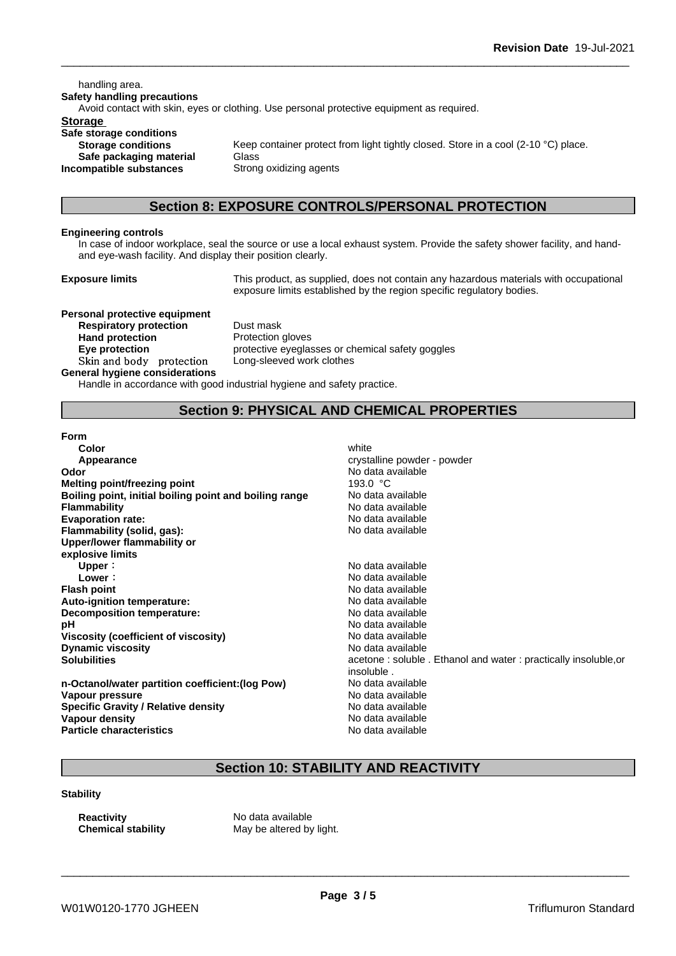handling area. **Safety handling precautions** Avoid contact with skin, eyes or clothing. Use personal protective equipment as required.**Storage Safe storage conditions Storage conditions** Keep container protect from light tightly closed. Store in a cool (2-10 °C) place. **Safe packaging material** Glass **Incompatible substances** Strong oxidizing agents

# **Section 8: EXPOSURE CONTROLS/PERSONAL PROTECTION**

#### **Engineering controls**

In case of indoor workplace, seal the source or use a local exhaust system. Provide the safety shower facility, and handand eye-wash facility. And display their position clearly.

**Exposure limits** This product, as supplied, does not contain any hazardous materials with occupational exposure limits established by the region specific regulatory bodies.

**Personal protective equipment Respiratory protection** Dust mask **Hand protection** Protection gloves **Skinandbody protection** Long-sleeved work clothes **General hygiene considerations**

**Eye protection** protective eyeglasses or chemical safety goggles

Handle in accordance with good industrial hygiene and safety practice.

# **Section 9: PHYSICAL AND CHEMICAL PROPERTIES**

**Form**

| Color                                                  | white                                  |
|--------------------------------------------------------|----------------------------------------|
| Appearance                                             | crystalline powder - powder            |
| Odor                                                   | No data available                      |
| Melting point/freezing point                           | 193.0 °C                               |
| Boiling point, initial boiling point and boiling range | No data available                      |
| <b>Flammability</b>                                    | No data available                      |
| <b>Evaporation rate:</b>                               | No data available                      |
| Flammability (solid, gas):                             | No data available                      |
| Upper/lower flammability or                            |                                        |
| explosive limits                                       |                                        |
| Upper:                                                 | No data available                      |
| Lower:                                                 | No data available                      |
| <b>Flash point</b>                                     | No data available                      |
| Auto-ignition temperature:                             | No data available                      |
| <b>Decomposition temperature:</b>                      | No data available                      |
| рH                                                     | No data available                      |
| Viscosity (coefficient of viscosity)                   | No data available                      |
| <b>Dynamic viscosity</b>                               | No data available                      |
| <b>Solubilities</b>                                    | acetone: soluble. Ethanol and water: p |
|                                                        | insoluble.                             |
| n-Octanol/water partition coefficient: (log Pow)       | No data available                      |
| Vapour pressure                                        | No data available                      |

**Flammability** No data available **Evaporation rate:** No data available **Flammability (solid, gas):** No data available **Upper:** No data available **Lower:** No data available **Flash point** No data available **Auto-ignition temperature:** No data available **Decomposition temperature:** No data available No data available **Viscosity (coefficient of viscosity)** No data available **Dynamic viscosity** No data available acetone : soluble . Ethanol and water : practically insoluble,or insoluble . **n-Octanol/water partition coefficient:(log Pow)** No data available **No data available Specific Gravity / Relative density** No data available<br> **Vapour density** No data available<br>
No data available **Particle characteristics** No data available

# **Section 10: STABILITY AND REACTIVITY**

**Stability**

**Vapour density** 

**Reactivity** No data available

**Chemical stability** May be altered by light.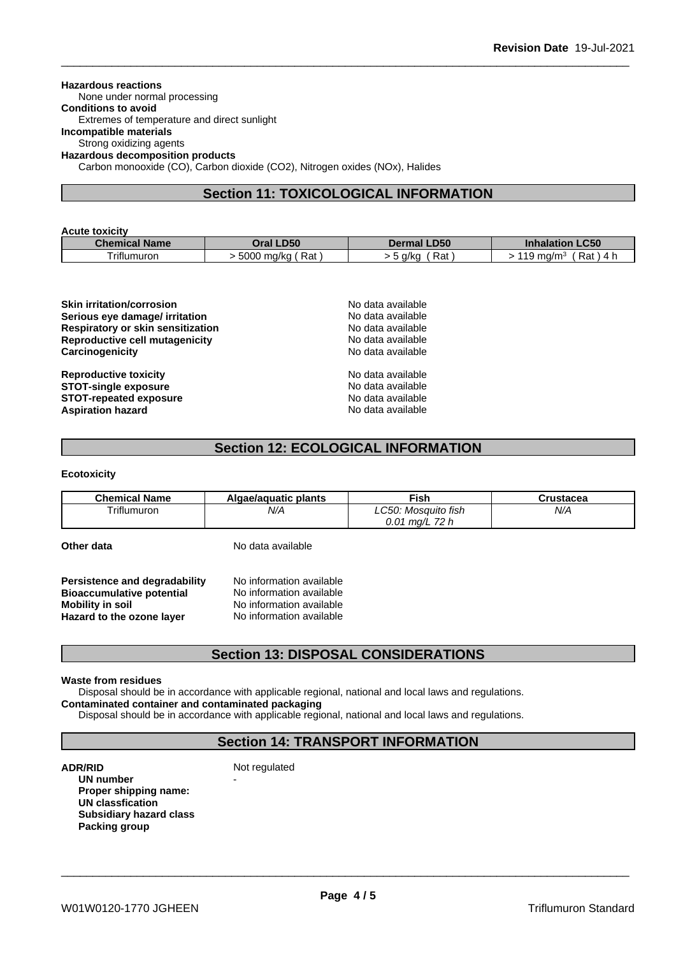#### **Hazardous reactions**

None under normal processing

**Conditions to avoid** Extremes of temperature and direct sunlight

#### **Incompatible materials**

Strong oxidizing agents

**Hazardous decomposition products**

Carbon monooxide (CO), Carbon dioxide (CO2), Nitrogen oxides (NOx), Halides

# **Section 11: TOXICOLOGICAL INFORMATION**

| <b>Acute toxicity</b> |                   |                       |                                              |  |  |
|-----------------------|-------------------|-----------------------|----------------------------------------------|--|--|
| <b>Chemical Name</b>  | Oral LD50         | <b>LD50</b><br>Dermal | <b>Inhalation LC50</b>                       |  |  |
| Triflumuron           | Rat<br>5000 ma/ka | Rat<br>a/ka           | Rat<br>$^{\circ}$ 19 ma/m $^{\circ}$<br>-4 h |  |  |

| <b>Skin irritation/corrosion</b><br>Serious eye damage/ irritation<br><b>Respiratory or skin sensitization</b><br>Reproductive cell mutagenicity<br>Carcinogenicity | No data available<br>No data available<br>No data available<br>No data available<br>No data available |  |
|---------------------------------------------------------------------------------------------------------------------------------------------------------------------|-------------------------------------------------------------------------------------------------------|--|
| <b>Reproductive toxicity</b><br><b>STOT-single exposure</b><br><b>STOT-repeated exposure</b><br><b>Aspiration hazard</b>                                            | No data available<br>No data available<br>No data available<br>No data available                      |  |

# **Section 12: ECOLOGICAL INFORMATION**

**Ecotoxicity**

| <b>Chemical Name</b> | Algae/aguatic plants | ∹ish                                 | ustacea<br>usiacea |
|----------------------|----------------------|--------------------------------------|--------------------|
| Triflumuron          | N/A                  | ∟C50 <sup>.</sup><br>. Mosauito fish | N/A                |
|                      |                      | 70 h<br>0.01<br>ma/l<br>$1 - 1$      |                    |

**Other data** No data available

**Persistence and degradability** No information available<br>**Bioaccumulative potential** No information available **Bioaccumulative potential Mobility in soil**<br> **Hazard to the ozone laver** Mo information available **Hazard to the ozone layer** 

# **Section 13: DISPOSAL CONSIDERATIONS**

#### **Waste from residues**

Disposal should be in accordance with applicable regional, national and local laws and regulations.

**Contaminated container and contaminated packaging**

Disposal should be in accordance with applicable regional, national and local laws and regulations.

# **Section 14: TRANSPORT INFORMATION**

**ADR/RID** Not regulated

**UN number Proper shipping name: UN classfication Subsidiary hazard class Packing group**